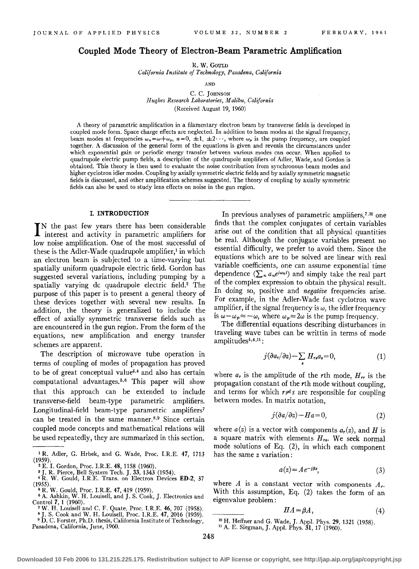# **Coupled Mode Theory of Electron-Beam Parametric Amplification**

R. W. GouLD

*California Institute of Technology, Pasadena, California* 

AND

C. C. JOHNSON *Hughes Research Laboratories, Malibu, California*  (Received August 19, 1960)

A theory of parametric amplification in a filamentary electron beam by transverse fields is developed in coupled mode form. Space charge effects are neglected. In addition to beam modes at the signal frequency, beam modes at frequencies  $\omega_n = \omega + \omega_p$ ,  $n = 0, \pm 1, \pm 2 \cdots$ , where  $\omega_p$  is the pump frequency, are coupled together. A discussion of the general form of the equations is given and reveals the circumstances under which exponential gain or periodic energy transfer between various modes can occur. When applied to quadrupole electric pump fields, a description of the quadrupole amplifiers of Adler, Wade, and Gordon is obtained. This theory is then used to evaluate the noise contribution from synchronous beam modes and higher cyclotron idler modes. Coupling by axially symmetric electric fields and by axially symmetric magnetic fields is discussed, and other amplification schemes suggested. The theory of coupling by axially symmetric fields can also be used. to study lens effects on noise in the gun region.

#### I. INTRODUCTION

IN the past few years there has been considerable interest and activity in parametric amplifiers for IN the past few years there has been considerable low noise amplification. One of the most successful of these is the Adler-Wade quadrupole amplifier,<sup>1</sup> in which an electron beam is subjected to a time-varying but spatially uniform quadrupole electric field. Gordon has suggested several variations, including pumping by a spatially varying dc quadrupole electric field.<sup>2</sup> The purpose of this paper is to present a general theory of these devices together with several new results. In addition, the theory is generalized to include the effect of axially symmetric transverse fields such as are encountered in the gun region. From the form of the equations, new amplification and energy transfer schemes are apparent.

The description of microwave tube operation in terms of coupling of modes of propagation has proved to be of great conceptual value<sup>3,4</sup> and also has certain computational advantages. 5• 6 This paper will show that this approach can be extended to include transverse-field beam-type parametric amplifiers. Longitudinal-field beam-type parametric amplifiers<sup>7</sup> can be treated in the same manner.<sup>8,9</sup> Since certain coupled mode concepts and mathematical relations will be used repeatedly, they are summarized in this section.

In previous analyses of parametric amplifiers, 7.Io one finds that the complex conjugates of certain variables arise out of the condition that all physical quantities be real. Although the conjugate variables present no essential difficulty, we prefer to avoid them. Since the equations which are to be solved are linear with real variable coefficients, one can assume exponential time dependence  $(\sum_{n} a_n e^{i\omega_n t})$  and simply take the real part of the complex expression to obtain the physical result. In doing so, positive and *negative* frequencies arise. For example, in the Adler-Wade fast cyclotron wave amplifier, if the signal frequency is  $\omega$ , the idler frequency is  $\omega - \omega_p \approx -\omega$ , where  $\omega_p \approx 2\omega$  is the pump frequency.

The differential equations describing disturbances in traveling wave tubes can be writtin in terms of mode  $amplitudes<sup>5,6,11</sup>:$ 

$$
j(\partial a_r/\partial z) - \sum_s H_{rs} a_s = 0, \qquad (1)
$$

where  $a_r$  is the amplitude of the rth mode,  $H_{rr}$  is the propagation constant of the rth mode without coupling, and terms for which  $r \neq s$  are responsible for coupling between modes. In matrix notation,

$$
j(\partial a/\partial z) - Ha = 0,\t(2)
$$

where  $a(z)$  is a vector with components  $a_r(z)$ , and H is a square matrix with elements *Hr•·* We seek normal mode solutions of Eq. (2), in which each component has the same *z* variation:

$$
a(z) = Ae^{-i\beta z},\tag{3}
$$

where  $A$  is a constant vector with components  $A_r$ . With this assumption, Eq. (2) takes the form of an eigenvalue problem:

$$
HA = \beta A, \tag{4}
$$

<sup>10</sup> H. Heffner and G. Wade, J. Appl. Phys. **29**, 1321 (1958). <sup>11</sup> A. E. Siegman, J. Appl. Phys. **31**, 17 (1960).

<sup>1</sup> R. Adler, G. Hrbek, and G. Wade, Proc. I.R.E. 47, 1713 (1959). 2 E. I. Gordon, Proc. I.R.E. 48, 1158 (1960).

<sup>&</sup>lt;sup>3</sup> J. R. Pierce, Bell System Tech. J. 33, 1343 (1954).<br>
<sup>4</sup> R. W. Gould, I.R.E. Trans. on Electron Devices **ED-2**, 37 (1955).

<sup>&</sup>lt;sup>15</sup> R. W. Gould, Proc. I.R.E. 47, 419 (1959).<br>
<sup>6</sup> A. Ashkin, W. H. Louisell, and J. S. Cook, J. Electronics and Control 7, 1 (1960).

T. W. H. Louisell and C. F. Quate, Proc. I.R.E. 46, 707 (1958).<br>8 J. S. Cook and W. H. Louisell, Proc. I.R.E. 47, 2016 (1959). 9 D. C. Forster, Ph.D. thesis, California Institute of Technology,

Pasadena, California, June, 1960.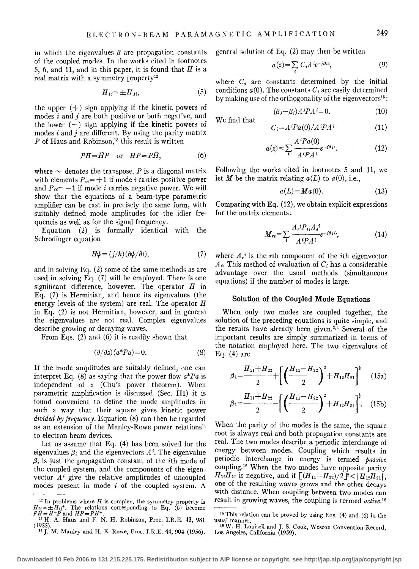in which the eigenvalues  $\beta$  are propagation constants of the coupled modes. In the works cited in footnotes 5, 6, and **11,** and in this paper, it is found that *H* is a real matrix with a symmetry property<sup>12</sup>

$$
H_{ij} = \pm H_{ji},\tag{5}
$$

the upper  $(+)$  sign applying if the kinetic powers of modes  $i$  and  $j$  are both positive or both negative, and the lower  $(-)$  sign applying if the kinetic powers of modes *i* and *j* are different. By using the parity matrix  $P$  of Haus and Robinson,<sup>13</sup> this result is written

$$
PH = \widetilde{H}P \quad \text{or} \quad HP = P\widetilde{H}, \tag{6}
$$

where  $\sim$  denotes the transpose. *P* is a diagonal matrix with elements  $P_{ii} = +1$  if mode *i* carries positive power and  $P_{ii} = -1$  if mode *i* carries negative power. We will show that the equations of a beam-type parametric amplifier can be cast in precisely the same form, with suitably defined mode amplitudes for the idler frequencis as well as for the signal frequency.

Equation (2) is formally identical with the Schrödinger equation

$$
H\psi = (j/\hbar)(\partial \psi/\partial t),\tag{7}
$$

and in solving Eq. (2) some of the same methods as are used in solving Eq. (7) will be employed. There is one significant difference, however. The operator *H* in Eq. (7) is Hermitian, and hence its eigenvalues (the energy levels of the system) are real. The operator *H*  in Eq. (2) is not Hermitian, however, and in general the eigenvalues are not real. Complex eigenvalues describe growing or decaying waves.

From Eqs. (2) and (6) it is readily shown that

$$
(\partial/\partial z)(a^*Pa) = 0.
$$
 (8)

If the mode amplitudes are suitably defined, one can interpret Eq. (8) as saying that the power flow *a\*Pa* is independent of *z* (Chu's power theorem). When parametric amplification is discussed (Sec. III) it is found convenient to define the mode amplitudes in such a way that their square gives kinetic power *divided by frequency.* Equation (8) can then be regarded as an extension of the Manley-Rowe power relations<sup>14</sup> to electron beam devices.

Let us assume that Eq. (4) has been solved for the eigenvalues  $\beta_i$  and the eigenvectors  $A^i$ . The eigenvalue  $\beta_i$  is just the propagation constant of the *i*th mode of the coupled system, and the components of the eigenvector  $A^i$  give the relative amplitudes of uncoupled modes present in mode  $i$  of the coupled system. A

general solution of Eq. (2) may then be written

$$
a(z) = \sum_{i} C_i A^{i} e^{-i\beta i z}, \qquad (9)
$$

where  $C_i$  are constants determined by the initial conditions  $a(0)$ . The constants  $C_i$  are easily determined by making use of the orthogonality of the eigenvectors<sup>15</sup>:

 $C_i = A^i Pa(0)/A^i P A^i$ 

$$
(\beta_j - \beta_i)A^j P A^i = 0.
$$
 (10)

We find that

$$
a(z) = \sum_{i} \frac{A^{i}Pa(0)}{A^{i}PA^{i}} e^{-i\beta_{i}z}.
$$
 (12)

Following the works cited in footnotes 5 and **11,** we let *M* be the matrix relating  $a(L)$  to  $a(0)$ , i.e.,

$$
a(L) = Ma(0). \tag{13}
$$

Comparing with Eq. (12), we obtain explicit expressions for the matrix elements:

$$
M_{rs} = \sum_{i} \frac{A_r^i P_{ss} A_s^i}{A^i P A^i} e^{-i\beta_i L},\tag{14}
$$

where  $A_r$ <sup>*i*</sup> is the *r*th component of the *i*th eigenvector . *A;.* This method of evaluation of *C;* has a considerable advantage over the usual methods (simultaneous equations) if the number of modes is large.

#### **Solution of the Coupled Mode Equations**

When only two modes are coupled together, the solution of the preceding equations is quite simple, and the results have already been given.3• 4 Several of the important results are simply summarized in terms of the notation employed here. The two eigenvalues of Eq.  $(4)$  are

$$
\beta_1 = \frac{H_{11} + H_{22}}{2} + \left[ \left( \frac{H_{11} - H_{22}}{2} \right)^2 + H_{12} H_{21} \right]^{\frac{1}{2}} \quad (15a)
$$

$$
\beta_2 = \frac{H_{11} + H_{22}}{2} - \left[ \left( \frac{H_{11} - H_{22}}{2} \right)^2 + H_{12} H_{21} \right]^2.
$$
 (15b)

When the parity of the modes is the same, the square root is always real and both propagation constants are real. The two modes describe a periodic interchange of energy between modes. Coupling which results in periodic interchange in energy is termed *passive*  coupling.16 When the two modes have opposite parity  $H_{12}H_{21}$  is negative, and if  $[(H_{11}-H_{22})/2]^2 < |H_{12}H_{21}|$ , one of the resulting waves grows and the other decays with distance. When coupling between two modes can result in growing waves, the coupling is termed *active. 16* 

**(11)** 

 $12$  In problems where H is complex, the symmetry property is  $H_{ij} = \pm H_{ij}$ \*. The relations corresponding to Eq. (6) become  $PH = H + P$  and  $HP = PH +$ .

<sup>&</sup>lt;sup>13</sup> H. A. Haus and F. N. H. Robinson, Proc. I.R.E. 43, 981 (1955).

<sup>&</sup>lt;sup>14</sup> J. M. Manley and H. E. Rowe, Proc. I.R.E. 44, 904 (1956).

 $15$  This relation can be proved by using Eqs. (4) and (6) in the usual manner.

<sup>&</sup>lt;sup>16</sup> W. H. Louisell and J. S. Cook, Wescon Convention Record, Los Angeles, California (1959).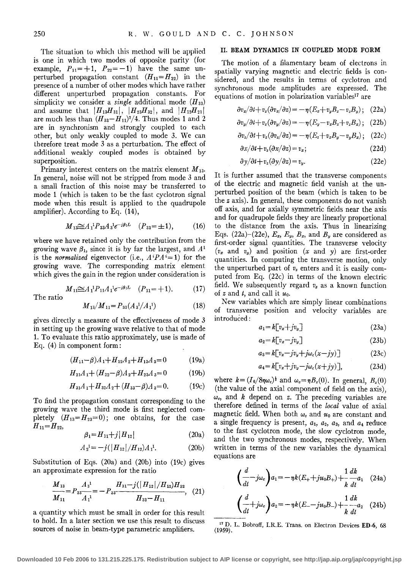The situation to which this method will be applied is one in which two modes of opposite parity (for example,  $P_{11} = +1$ ,  $P_{22} = -1$ ) have the same unperturbed propagation constant  $(H_{11}=H_{22})$  in the presence of a number of other modes which have rather different unperturbed propagation constants. For simplicity we consider a *single* additional mode *(H* aa) and assume that  $|H_{13}H_{31}|, |H_{23}H_{32}|,$  and  $|H_{12}H_{21}|$ are much less than  $(H_{33}-H_{11})^2/4$ . Thus modes 1 and 2 are in synchronism and strongly coupled to each other, but only weakly coupled to mode 3. We can therefore treat mode 3 as a perturbation. The effect of additional weakly coupled modes is obtained by superposition.

Primary interest centers on the matrix element *M* 13· In general, noise will not be stripped from mode 3 and a small fraction of this noise may be transferred to mode 1 (which is taken to be the fast cyclotron signal mode when this result is applied to the quadrupole amplifier). According to Eq. (14),

$$
M_{13} \cong A_1^1 P_{33} A_3^1 e^{-j\beta_1 L} \quad (P_{33} = \pm 1), \tag{16}
$$

where we have retained only the contribution from the growing wave  $\beta_1$ , since it is by far the largest, and  $A^1$ is the *normalized* eigenvector (i.e.,  $A^{i}PA^{i}=1$ ) for the growing wave. The corresponding matrix element which gives the gain in the region under consideration is

$$
M_{11} \cong A_1^1 P_{11} A_1^1 e^{-j\beta_1 L} \quad (P_{11} = +1). \tag{17}
$$

The ratio

$$
M_{13}/M_{11} = P_{33}(A_3^1/A_1^1) \tag{18}
$$

gives directly a measure of the effectiveness of mode 3 in setting up the growing wave relative to that of mode 1. To evaluate this ratio approximately, use is made of Eq. (4) in component form:

$$
(H_{11} - \beta)A_1 + H_{12}A_2 + H_{13}A_3 = 0 \tag{19a}
$$

$$
H_{21}A_1 + (H_{22} - \beta)A_2 + H_{23}A_3 = 0 \tag{19b}
$$

$$
H_{31}A_1 + H_{32}A_2 + (H_{33} - \beta)A_3 = 0. \tag{19c}
$$

To find the propagation constant corresponding to the growing wave the third mode is first neglected completely  $(H_{13}=H_{23}=0)$ ; one obtains, for the case  $H_{11}=H_{22}$ 

$$
\beta_1 = H_{11} + j |H_{12}| \tag{20a}
$$

$$
A_2^1 = -j(|H_{12}|/H_{12})A_1^1.
$$
 (20b)

Substitution of Eqs. (20a) and (20b) into (19c) gives an approximate expression for the ratio

$$
\frac{M_{13}}{M_{11}} = P_{33} \frac{A_3^{1}}{A_1^{1}} = -P_{33} \frac{H_{31} - j(|H_{12}|/H_{12})H_{32}}{H_{33} - H_{11}}, \quad (21)
$$

a quantity which must be small in order for this result to hold. In a later section we use this result to discuss sources of noise in beam-type parametric amplifiers.

## II. BEAM DYNAMICS IN COUPLED MODE FORM

The motion of a filamentary beam of electrons in spatially varying magnetic and electric fields is considered, and the results in terms of cyclotron and synchronous mode amplitudes are expressed. The equations of motion in polarization variables<sup>17</sup> are

$$
\partial v_x/\partial t + v_z(\partial v_x/\partial z) = -\eta (E_x + v_y B_z - v_z B_y); \quad (22a)
$$

$$
\partial v_y/\partial t + v_z(\partial v_y/\partial z) = -\eta (E_y - v_x B_z + v_z B_x); \quad (22b)
$$

$$
\frac{\partial v_z}{\partial t} + v_z (\frac{\partial v_z}{\partial z}) = -\eta (E_z + v_x B_y - v_y B_x); \quad (22c)
$$

$$
\frac{\partial x}{\partial t} + v_z(\frac{\partial x}{\partial z}) = v_x; \tag{22d}
$$

$$
\frac{\partial y}{\partial t} + v_z (\frac{\partial y}{\partial z}) = v_y. \tag{22e}
$$

It is further assumed that the transverse components of the electric and magnetic field vanish at the unperturbed position of the beam (which is taken to be the *z* axis). In general, these components do not vanish off axis, and for axially symmetric fields near the axis and for quadrupole fields they are linearly proportional to the distance from the axis. Thus in linearizing Eqs. (22a)–(22e),  $E_x$ ,  $E_y$ ,  $B_z$ , and  $B_y$  are considered as first-order signal quantities. The transverse velocity *(vx* and *vy)* and position *(x* and *y)* are first-order quantities. In computing the transverse motion, only the unperturbed part of  $v_z$  enters and it is easily computed from Eq. (22c) in terms of the known electric field. We subsequently regard  $v_z$  as a known function of  $z$  and  $t$ , and call it  $u_0$ .

New variables which are simply linear combinations of transverse position and velocity variables are introduced:

$$
a_1 = k \big[ v_x + j v_y \big] \tag{23a}
$$

$$
a_2 = k[v_x - jv_y]
$$
 (23b)

$$
a_3 = k[v_x - jv_y + j\omega_c(x - jy)] \tag{23c}
$$

$$
a_4 = k[v_x + jv_y - j\omega_c(x + jy)], \qquad (23d)
$$

where  $k = (I_0/8\eta\omega_c)^{\frac{1}{2}}$  and  $\omega_c = \eta B_z(0)$ . In general,  $B_z(0)$ (the value of the axial component of field on the axis),  $\omega_c$ , and *k* depend on *z*. The preceding variables are therefore defined in terms of the *local* value of axial magnetic field. When both  $\omega_c$  and  $u_0$  are constant and a single frequency is present,  $a_1$ ,  $a_2$ ,  $a_3$ , and  $a_4$  reduce to the fast cyclotron mode, the slow cyclotron mode, and the two synchronous modes, respectively. When written in terms of the new variables the dynamical equations are

$$
\left(\frac{d}{dt} - j\omega_e\right) a_1 = -\eta k (E_+ + ju_0 B_+) + \frac{1}{k} \frac{dk}{dt} a_1 \quad (24a)
$$

$$
\left(\frac{d}{dt} + j\omega_c\right) a_2 = -\eta k (E_- - ju_0 B_-) + \frac{1}{k} \frac{dk}{dt} \tag{24b}
$$

17 D. L. Bobroff, I.R.E. Trans. on Electron Devices ED-6, 68 (1959).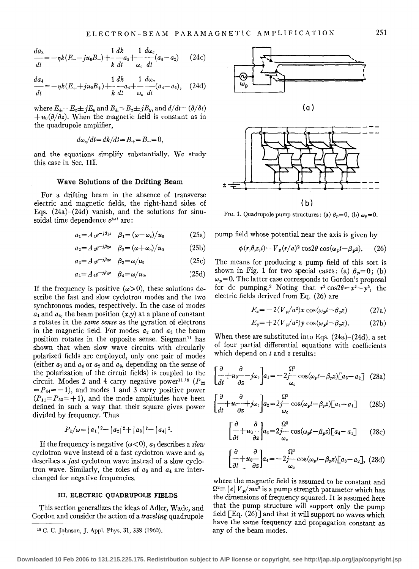$$
\frac{da_3}{dt} = -\eta k (E_- - ju_0 B_-) + \frac{1}{k} \frac{dk}{dt} + \frac{1}{\omega_c} \frac{d\omega_c}{dt} (a_3 - a_2) \qquad (24c)
$$

$$
\frac{da_4}{dt} = -\eta k (E_+ + ju_0 B_+) + \frac{1}{k} \frac{dk}{dt} a_4 + \frac{1}{\omega_c} \frac{d\omega_c}{dt} (a_4 - a_1), \quad (24d)
$$

where  $E_{\pm}=E_x\pm jE_y$  and  $B_{\pm}=B_x\pm jB_y$ , and  $d/dt=(\partial/\partial t)$  $+u_0(\partial/\partial z)$ . When the magnetic field is constant as in the quadrupole amplifier,

$$
d\omega_c/dt = dk/dt = B_+ = B_- = 0,
$$

and the equations simplify substantially. We study this case in Sec. III.

## **Wave Solutions of the Drifting Beam**

For a drifting beam in the absence of transverse electric and magnetic fields, the right-hand sides of Eqs.  $(24a)-(24d)$  vanish, and the solutions for sinusoidal time dependence *eiwt* are:

$$
a_1 = A_1 e^{-j\beta_1 z} \quad \beta_1 = (\omega - \omega_c)/u_0 \tag{25a}
$$

$$
a_2 = A_2 e^{-i\beta_2 z} \quad \beta_2 = (\omega + \omega_c)/u_0 \tag{25b}
$$

$$
a_3 = A_3 e^{-i\beta_3 z} \quad \beta_3 = \omega/\mu_0 \tag{25c}
$$

$$
a_4 = A_4 e^{-j\beta_4 z} \quad \beta_4 = \omega/u_0. \tag{25d}
$$

If the frequency is positive  $(\omega>0)$ , these solutions describe the fast and slow cyclotron modes and the two synchronous modes, respectively. In the case of modes  $a_1$  and  $a_4$ , the beam position  $(x, y)$  at a plane of constant *z* rotates in the *same sense* as the gyration of electrons in the magnetic field. For modes  $a_2$  and  $a_3$  the beam position rotates in the opposite sense. Siegman<sup>11</sup> has shown that when slow wave circuits with circularly polarized fields are employed, only one pair of modes (either  $a_1$  and  $a_4$  or  $a_2$  and  $a_3$ , depending on the sense of the polarization of the circuit fields) is coupled to the circuit. Modes 2 and 4 carry negative power<sup>11,18</sup>  $(P_{22})$  $= P_{44} = -1$ ), and modes 1 and 3 carry positive power  $(P_{11} = P_{33} = +1)$ , and the mode amplitudes have been defined in such a way that their square gives power divided by frequency. Thus

$$
P_k/\omega = |a_1|^2 - |a_2|^2 + |a_3|^2 - |a_4|^2.
$$

If the frequency is negative  $(\omega < 0)$ ,  $a_1$  describes a *slow* cyclotron wave instead of a fast cyclotron wave and a*<sup>2</sup>* describes a *fast* cyclotron wave instead of a slow cyclotron wave. Similarly, the roles of  $a_3$  and  $a_4$  are interchanged for negative frequencies.

#### **III. ELECTRIC QUADRUPOLE FIELDS**

This section generalizes the ideas of Adler, Wade, and Gordon and consider the action of a *traveling* quadrupole



FIG. 1. Quadrupole pump structures: (a)  $\beta_p=0$ , (b)  $\omega_p=0$ .

pump field whose potential near the axis is given by

$$
\phi(r,\theta,z,t) = V_p(r/a)^2 \cos 2\theta \cos(\omega_p t - \beta_p z). \tag{26}
$$

The means for producing a pump field of this sort is shown in Fig. 1 for two special cases: (a)  $\beta_p=0$ ; (b)  $\omega_p=0$ . The latter case corresponds to Gordon's proposal for dc pumping.<sup>2</sup> Noting that  $r^2 \cos 2\theta = x^2 - y^2$ , the electric fields derived from Eq. (26) are

$$
E_x = -2(V_p/a^2)x\cos(\omega_p t - \beta_p z)
$$
 (27a)

$$
E_y = +2(V_p/a^2)y\cos(\omega_p t - \beta_p z). \tag{27b}
$$

When these are substituted into Eqs.  $(24a)-(24d)$ , a set of four partial differential equations with coefficients which depend on *t* and *z* results:

$$
\begin{bmatrix} \frac{\partial}{\partial t} + u_0 & -j\omega_c \\ dt & \frac{\partial}{\partial z} \end{bmatrix} a_1 = -2j - \cos(\omega_p t - \beta_p z) \begin{bmatrix} a_3 - a_2 \end{bmatrix} \tag{28a}
$$

$$
\left[\frac{\partial}{\partial t} + u_0 - \frac{\partial}{\partial z} + j\omega_c\right] a_2 = 2j \frac{\Omega^2}{\omega_c} \cos(\omega_p t - \beta_p z) \left[a_4 - a_1\right] \tag{28b}
$$

$$
\left[\frac{\partial}{\partial t} + u_0 \frac{\partial}{\partial z}\right] a_3 = 2j \frac{\Omega^2}{\omega_c} \cos(\omega_p t - \beta_p z) \left[a_4 - a_1\right] \tag{28c}
$$

$$
\begin{bmatrix} \frac{\partial}{\partial t} & \frac{\partial}{\partial t} \\ -\frac{1}{2}u_0 - \frac{\partial}{\partial z} \end{bmatrix} a_4 = -2j \frac{\Omega^2}{\omega_c} \cos(\omega_p t - \beta_p z) \begin{bmatrix} a_3 - a_2 \end{bmatrix}, \tag{28d}
$$

where the magnetic field is assumed to be constant and  $\Omega^2 \equiv |e| V_p / ma^2$  is a pump strength parameter which has the dimensions of frequency squared. It is assumed here that the pump structure will support only the pump field [Eq. (26)] and that it will support no waves which have the same frequency and propagation constant as any of the beam modes.

<sup>18</sup> C. C. Johnson, J. Appl. Phys. 31, 338 (1960).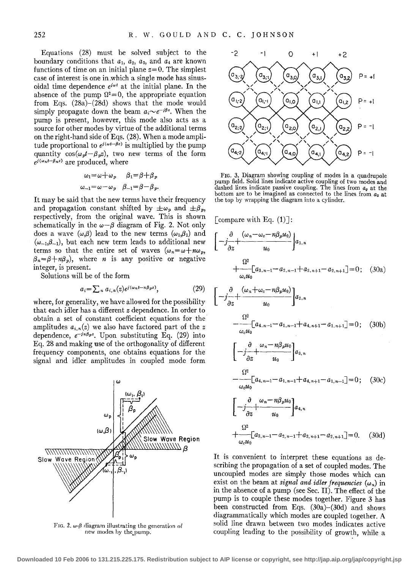Equations (28) must be solved subject to the boundary conditions that  $a_1$ ,  $a_2$ ,  $a_3$ , and  $a_4$  are known functions of time on an initial plane  $z=0$ . The simplest case of interest is one in which a single mode has sinusoidal time dependence *eiwt* at the initial plane. In the absence of the pump  $\Omega^2=0$ , the appropriate equation from Eqs. (28a)-(28d) shows that the mode would simply propagate down the beam  $a_i \sim e^{-i\beta z}$ . When the pump is present, however, this mode also acts as a source for other modes by virtue of the additional terms on the right-hand side of Eqs. (28). When a mode amplitude proportional to  $e^{i(\omega t - \beta z)}$  is multiplied by the pump quantity  $cos(\omega_p t - \beta_p z)$ , two new terms of the form  $e^{i(\omega_n t - \beta_n z)}$  are produced, where

$$
\omega_1 = \omega + \omega_p \qquad \beta_1 = \beta + \beta_p
$$
  

$$
\omega_{-1} = \omega - \omega_p \qquad \beta_{-1} = \beta - \beta_p.
$$

It may be said that the new terms have their frequency and propagation constant shifted by  $\pm \omega_p$  and  $\pm \beta_p$ , respectively, from the original wave. This is shown schematically in the  $\omega-\beta$  diagram of Fig. 2. Not only does a wave  $(\omega,\beta)$  lead to the new terms  $(\omega_1,\beta_1)$  and  $(\omega_{-1},\beta_{-1})$ , but each new term leads to additional new terms so that the entire set of waves  $(\omega_n = \omega + n\omega_p)$ ,  $\beta_n = \beta + n\beta_p$ , where *n* is any positive or negative integer, is present.

Solutions will be of the form

$$
a_i = \sum_n a_{i,n}(z) e^{i(\omega_n t - n\beta_p z)}, \qquad (29)
$$

where, for generality, we have allowed for the possibility that each idler has a different *z* dependence. In order to obtain a set of constant coefficient equations for the· amplitudes  $a_{i,n}(z)$  we also have factored part of the z dependence,  $e^{-in\beta p^z}$ . Upon substituting Eq. (29) into Eq. 28 and making use of the orthogonality of different frequency components, one obtains equations for the signal and idler amplitudes in coupled mode form



FIG. 2.  $\omega$ - $\beta$  diagram illustrating the generation of new modes by the pump.



FIG. 3. Diagram showing coupling of modes in a quadrupole pump field. Solid lines indicate active coupling of two modes and dashed lines indicate passive coupling. The lines from  $a_{\sigma}$  at the bottom are to be imagined as connected to the lines from  $a_3$  at the top by wrapping the diagram into a cylinder.

[compare with Eq.  $(1)$ ]:

$$
\left[-\frac{\partial}{\partial z} + \frac{(\omega_n - \omega_c - n\beta_p u_0)}{u_0}\right]a_{1,n}
$$
  
+ 
$$
\frac{\Omega^2}{\omega_c u_0} [a_{3,n-1} - a_{2,n-1} + a_{3,n+1} - a_{2,n+1}] = 0; \quad (30a)
$$
  

$$
\left[-\frac{\partial}{\partial z} + \frac{(\omega_n + \omega_c - n\beta_p u_0)}{u_{2,n}}\right] a_{2,n}
$$

$$
\frac{\partial z}{\partial z} = u_0 \mathbf{J}
$$
  
-  $\frac{\Omega^2}{-\omega_c u_0} [a_{4,n-1} - a_{1,n-1} + a_{4,n+1} - a_{1,n+1}] = 0; \quad (30b)$ 

$$
\begin{aligned}\n&\left[-\frac{\partial}{\partial z} + \frac{\omega_n - n\beta_p u_0}{u_0}\right] a_{3,n} \\
&\quad - \frac{\Omega^2}{\omega_c u_0} \left[a_{4,n-1} - a_{1,n-1} + a_{4,n+1} - a_{1,n-1}\right] = 0; \quad (30c) \\
&\left[-\frac{\partial}{\partial z} + \frac{\omega_n - n\beta_p u_0}{u_0}\right] a_{4,n} \\
&\quad \Omega^2\n\end{aligned}
$$

$$
+\sum_{\omega_c u_0}^{u_0} [a_{3,n-1}-a_{2,n-1}+a_{3,n+1}-a_{2,n+1}]=0. \quad (30d)
$$

It is convenient to interpret these equations as describing the propagation of a set of coupled modes. The uncoupled modes are simply those modes which can exist on the beam at *signal and idler frequencies*  $(\omega_n)$  in in the absence of a pump (see Sec. II). The effect of the pump is to couple these modes together. Figure 3 has been constructed from Eqs. (30a)-(30d) and shows diagrammatically which modes are coupled together. A solid line drawn between two modes indicates active coupling leading to the possibility of growth, while a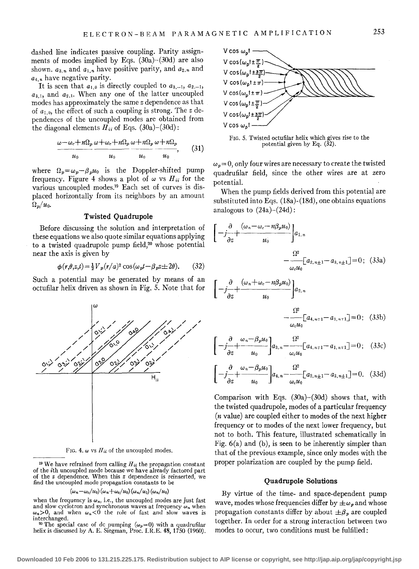dashed line indicates passive coupling. Parity assignments of modes implied by Eqs.  $(30a)$ - $(30d)$  are also shown.  $a_{3,n}$  and  $a_{1,n}$  have positive parity, and  $a_{2,n}$  and *a4,n* have negative parity.

It is seen that  $a_{1,0}$  is directly coupled to  $a_{3,-1}$ ,  $a_{2,-1}$ ,  $a_{3,1}$ , and  $a_{2,1}$ . When any one of the latter uncoupled modes has approximately the same *z* dependence as that of *a1,0,* the effect of such a coupling is strong. The *z* dependences of the uncoupled modes are obtained from the diagonal elements  $H_{ii}$  of Eqs. (30a)–(30d):

$$
\frac{\omega - \omega_c + n\Omega_p}{u_0} \frac{\omega + \omega_c + n\Omega_p}{u_0} \frac{\omega + n\Omega_p}{u_0} \frac{\omega + n\Omega_p}{u_0}, \qquad (31)
$$

where  $\Omega_p = \omega_p - \beta_p u_0$  is the Doppler-shifted pump frequency. Figure 4 shows a plot of  $\omega$  vs  $H_{ii}$  for the various uncoupled modes.19 Each set of curves is displaced horizontally from its neighbors by an amount  $\Omega_p/u_0$ .

## **Twisted Quadrupole**

Before discussing the solution and interpretation of these equations we also quote similar equations applying to a twisted quadrupole pump field, $20$  whose potential near the axis is given by

$$
\phi(r,\theta,z,t) = \frac{1}{2} V_p(r/a)^2 \cos(\omega_p t - \beta_p z \pm 2\theta). \tag{32}
$$

Such a potential may be generated by means of an octufilar helix driven as shown in Fig. 5. Note that for



FIG. 4.  $\omega$  vs  $H_{ii}$  of the uncoupled modes.

<sup>19</sup> We have refrained from calling  $H_{ii}$  the propagation constant of the ith uncoupled mode because we have already factored part of the *z* dependence. When this *z* dependence is reinserted, we find the uncoupled mode propagation constants to be

#### $(\omega_n-\omega_c/u_0)(\omega_n+\omega_c/u_0)(\omega_n/u_0)(\omega_n/u_0)$

when the frequency is  $\omega_n$ , i.e., the uncoupled modes are just fast and slow cyclotron and synchronous waves at frequency  $\omega_n$  when  $\omega_n>0$ , and when  $\omega_n<0$  the role of fast and slow waves is interchanged. interchanged.<br><sup>20</sup> The special case of dc pumping  $(\omega_p=0)$  with a quadrufilar

helix is discussed by A. E. Siegman, Proc. I.R.E. 48, 1750 (1960).



FIG. *5.* Twisted octufilar helix which gives rise to the potential given by Eq. (32).

 $\omega_p = 0$ , only four wires are necessary to create the twisted quadrufilar field, since the other wires are at zero potential.

When the pump fields derived from this potential are substituted into Eqs. (18a)-(18d), one obtains equations analogous to  $(24a)-(24d)$ :

$$
\left[-\frac{\partial}{\partial z} + \frac{(\omega_n - \omega_c - n\beta_p u_0)}{u_0}\right] a_{1,n} - \frac{\Omega^2}{\omega_c u_0} [a_{2,n\pm 1} - a_{3,n\pm 1}] = 0; \quad (33a)
$$

$$
\left[-j\frac{\partial}{\partial z} + \frac{(\omega_n + \omega_c - n\beta_p u_0)}{u_0}\right] a_{2,n}
$$

$$
- \frac{\Omega^2}{\omega_c u_0} [a_{4,n+1} - a_{1,n+1}] = 0; \quad (33b)
$$

$$
\left[-j\frac{\partial}{\partial z}+\frac{\omega_n-\beta_p u_0}{u_0}\right]a_{3,n}-\frac{\Omega^2}{\omega_c u_0}\left[a_{4,n+1}-a_{1,n+1}\right]=0\tag{33c}
$$

$$
\left[-j\frac{\partial}{\partial z} + \frac{\omega_n - \beta_p u_0}{u_0}\right] a_{4,n} - \frac{\Omega^2}{\omega_c u_0} \left[a_{2,n+1} - a_{3,n+1}\right] = 0. \quad (33d)
$$

Comparison with Eqs. (30a)-(30d) shows that, with the twisted quadrupole, modes of a particular frequency (n value) are coupled either to modes of the next higher frequency or to modes of the next lower frequency, but not to both. This feature, illustrated schematically in Fig.  $6(a)$  and  $(b)$ , is seen to be inherently simpler than that of the previous example, since only modes with the proper polarization are coupled by the pump field.

#### **Quadrupole Solutions**

By virtue of the time- and space-dependent pump wave, modes whose frequencies differ by  $\pm \omega_p$  and whose propagation constants differ by about  $\pm \beta_p$  are coupled together. In order for a strong interaction between two modes to occur, two conditions must be fulfilled: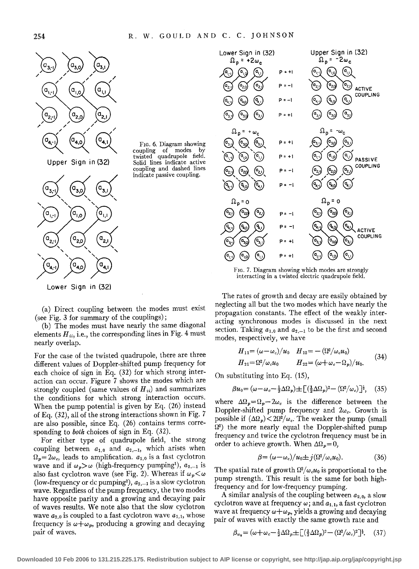FIG. 6. Diagram showing coupling of modes by twisted quadrupole field. Solid lines indicate active coupling and dashed lines indicate passive coupling.



(a) Direct coupling between the modes must exist (see Fig. 3 for summary of the couplings);

(b) The modes must have nearly the same diagonal elements  $H_{ii}$ , i.e., the corresponding lines in Fig. 4 must nearly overlap.

For the case of the twisted quadrupole, there are three different values of Doppler-shifted pump frequency for each choice of sign in Eq. (32) for which strong interaction can occur. Figure 7 shows the modes which are strongly coupled (same values of  $H_{ii}$ ) and summarizes the conditions for which strong interaction occurs. When the pump potential is given by Eq. (26) instead of Eq. (32), all of the strong interactions shown in Fig. 7 are also possible, since Eq. (26) contains terms corresponding to *both* choices of sign in Eq. (32).

For either type of quadrupole field, the strong coupling between  $a_{1,0}$  and  $a_{2,-1}$ , which arises when  $\Omega_p = 2\omega_c$ , leads to amplification.  $a_{1,0}$  is a fast cyclotron wave and if  $\omega_p > \omega$  (high-frequency pumping<sup>1</sup>),  $a_{2,-1}$  is also fast cyclotron wave (see Fig. 2). Whereas if  $\omega_p < \omega$ (low-frequency or dc pumping<sup>2</sup>),  $a_{2,-1}$  is a slow cyclotron wave. Regardless of the pump frequency, the two modes have opposite parity and a growing and decaying pair of waves results. We note also that the slow cydotron wave  $a_{2,0}$  is coupled to a fast cyclotron wave  $a_{1,1}$ , whose frequency is  $\omega + \omega_p$ , producing a growing and decaying pair of waves.



FIG. 7. Diagram showing which modes are strongly interacting in a twisted electric quadrupole field.

The rates of growth and decay are easily obtained by neglecting all but the two modes which have nearly the propagation constants. The effect of the weakly interacting synchronous modes is discussed in the next section. Taking  $a_{1,0}$  and  $a_{2,-1}$  to be the first and second modes, respectively, we have

$$
H_{11} = (\omega - \omega_c)/u_0 \quad H_{12} = -(\Omega^2/\omega_c u_0)
$$
  
\n
$$
H_{21} = \Omega^2/\omega_c u_0 \qquad H_{22} = (\omega + \omega_c - \Omega_p)/u_0.
$$
\n(34)

On substituting into Eq. (15),

$$
\beta u_0 = (\omega - \omega_c - \frac{1}{2}\Delta\Omega_p) \pm \left[ (\frac{1}{2}\Delta\Omega_p)^2 - (\Omega^2/\omega_c) \right]^{\frac{1}{2}}, \quad (35)
$$

where  $\Delta\Omega_p = \Omega_p - 2\omega_c$  is the difference between the Doppler-shifted pump frequency and  $2\omega_c$ . Growth is possible if  $(\Delta \Omega_p) < 2\Omega^2/\omega_c$ . The weaker the pump (small  $\Omega^2$ ) the more nearly equal the Doppler-shifted pump frequency and twice the cyclotron frequency must be in order to achieve growth. When  $\Delta\Omega_p = 0$ ,

$$
\beta = (\omega - \omega_c)/u_0 \pm j(\Omega^2/\omega_c u_0). \tag{36}
$$

The spatial rate of growth  $\Omega^2/\omega_c u_0$  is proportional to the pump strength. This result is the same for both highfrequency and for low-frequency pumping.

A similar analysis of the coupling between  $a_{2,0}$ , a slow cyclotron wave at frequency  $\omega$ ; and  $a_{1,1}$ , a fast cyclotron wave at frequency  $\omega + \omega_p$ , yields a growing and decaying pair of waves With exactly the same growth rate and

$$
\beta_{u_0} = (\omega + \omega_c - \frac{1}{2}\Delta\Omega_p \pm \left[ \left( \frac{1}{2}\Delta\Omega_p \right)^2 - \left( \Omega^2/\omega_c \right)^2 \right]^{\frac{1}{2}}. \tag{37}
$$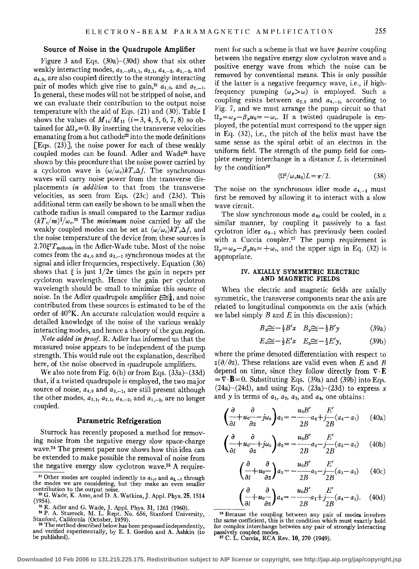## Source of Noise in the Quadrupole Amplifier

Figure 3 and Eqs.  $(30a)$ – $(30d)$  show that six other weakly interacting modes,  $a_{3,-1}a_{3,1}$ ,  $a_{2,1}$ ,  $a_{4,-2}$ ,  $a_{1,-2}$ , and  $a_{4,0}$ , are also coupled directly to the strongly interacting pair of modes which give rise to gain,<sup>21</sup>  $a_{1,0}$ , and  $a_{2,-1}$ . In general, these modes will not be stripped of noise, and we can evaluate their contribution to the output noise temperature with the aid of Eqs.  $(21)$  and  $(30)$ . Table I shows the values of  $M_{1i}/M_{11}$  ( $i=3, 4, 5, 6, 7, 8$ ) so obtained for  $\Delta\Omega_p = 0$ . By inserting the transverse velocities emanating from a hot cathode<sup>22</sup> into the mode definitions [Eqs.  $(23)$ ], the noise power for each of these weakly coupled modes can be found. Adler and Wade<sup>23</sup> have shown by this procedure that the noise power carried by a cyclotron wave is  $(\omega/\omega_c)kT_c\Delta f$ . The synchronous waves will carry noise power from the transverse displacements *in addition* to that from the transverse velocities, as seen from Eqs. (23c) and (23d). This additional term can easily be shown to be small when the cathode radius is small compared to the Larmor radius  $(kT_c/m)^{\frac{1}{2}}/\omega_c$ <sup>22</sup> The *minimum* noise carried by *all* the weakly coupled modes can be set at  $(\omega/\omega_c)kT_c\Delta f$ , and the noise temperature of the device from these sources is  $2.70\frac{\epsilon^2 T_{\text{cathode}}}{}$  in the Adler-Wade tube. Most of the noise comes from the  $a_{4,0}$  and  $a_{3,-1}$  synchronous modes at the signal and idler frequencies, respectively. Equation (36) shows that  $\xi$  is just  $1/2\pi$  times the gain in nepers per cyclotron wavelength. Hence the gain per cyclotron wavelength should be small to minimize this source of noise. In the Adler quadrupole amplifier  $\sum_{i=1}^{\infty}$ , and noise contributed from these sources is estimated to be of the order of 40°K. An accurate calculation would require a detailed knowledge of the noise of the various weakly interacting modes, and hence a theory of the gun region.

Note added in proof. R. Adler has informed us that the measured noise appears to be independent of the pump strength. This would rule out the explanation, described here, of the noise observed in quadrupole amplifiers.

We also note from Fig. 6(b) or from Eqs. (33a)-(33d) that, if a twisted quadrupole is employed, the two major source of noise,  $a_{4,0}$  and  $a_{3,-1}$ , are still present although the other modes,  $a_{3,1}$ ,  $a_{2,1}$ ,  $a_{4,-2}$ , and  $a_{1,-2}$ , are no longer coupled.

# Parametric Refrigeration

Sturrock has recently proposed a method for removing noise from the negative energy slow space-charge wave.24 The present paper now shows how this idea can be extended to make possible the removal of noise from the negative energy slow cyclotron wave.26 A requirement for such a scheme is that we have *passive* coupling between the negative energy slow cyclotron wave and a positive energy wave from which the noise can be removed by conventional means. This is only possible if the latter is a negative frequency wave, i.e., if highfrequency pumping  $(\omega_p > \omega)$  is employed. Such a coupling exists between  $a_{2,0}$  and  $a_{4,-1}$ , according to Fig. 7, and we must arrange the pump circuit so that  $\Omega_p = \omega_p - \beta_p u_0 = -\omega_c$ . If a twisted quadrupole is employed, the potential must correspond to the upper sign in Eq. (32), i.e., the pitch of the helix must have the same sense as the spiral orbit of an electron in the uniform field. The strength of the pump field for complete energy interchange in a distance  $L$  is determined by the condition<sup>26</sup>

$$
(\Omega^2/\omega_c u_0)L = \pi/2. \tag{38}
$$

The noise on the synchronous idler mode  $a_{4,-1}$  must first be removed by allowing it to interact with a slow wave circuit.

The slow synchronous mode *a40* could be cooled, in a similar manner, by coupling it passively to a fast cyclotron idler  $a_{2-1}$  which has previously been cooled. with a Cuccia coupler.<sup>27</sup> The pump requirement is  $\Omega_p = \omega_p - \beta_p u_0 = +\omega_c$ , and the upper sign in Eq. (32) is appropriate.

#### IV. AXIALLY SYMMETRIC ELECTRIC AND MAGNETIC FIELDS

When the electric and magnetic fields are axially symmetric, the transverse components near the axis are related to longitudinal components on the axis (which we label simply  $B$  and  $E$  in this discussion):

$$
B_x \cong -\frac{1}{2}B'x \quad B_y \cong -\frac{1}{2}B'y \tag{39a}
$$

$$
E_x \cong -\frac{1}{2}E'x \quad E_y \cong -\frac{1}{2}E'y,\tag{39b}
$$

where the prime denoted differentiation with respect to  $z(\partial/\partial z)$ . These relations are valid even when *E* and *B* depend on time, since they follow directly from  $\nabla \cdot \mathbf{E}$  $=\nabla \cdot \mathbf{B}=0$ . Substituting Eqs. (39a) and (39b) into Eqs.  $(24a)$ – $(24d)$ , and using Eqs.  $(23a)$ – $(23d)$  to express *x* and *y* in terms of  $a_1$ ,  $a_2$ ,  $a_3$ , and  $a_4$ , one obtains:

$$
\left(\frac{\partial}{\partial t} + u_0 \frac{\partial}{\partial z} - j\omega_o\right) a_1 = -\frac{u_0 B'}{2B} a_4 + \frac{E'}{2B} (a_4 - a_1) \tag{40a}
$$

$$
\left(\frac{\partial}{\partial t} + u_0 \frac{\partial}{\partial z} + j\omega_c\right) a_2 = -\frac{u_0 B'}{2B} a_3 - j\frac{E'}{2B} (a_3 - a_2) \tag{40b}
$$

$$
\left(\frac{\partial}{\partial t} + u_0 \frac{\partial}{\partial z}\right) a_3 = -\frac{u_0 B'}{2B} a_2 - j \frac{E'}{2B} (a_3 - a_2) \tag{40c}
$$

$$
\left(\frac{\partial}{\partial t} + u_0 \frac{\partial}{\partial z}\right) a_4 = -\frac{u_0 B'}{2B} a_1 + j \frac{E'}{2B} (a_4 - a_1). \quad (40d)
$$

<sup>26</sup> Because the coupling between any pair of modes involves the same coefficient, this is the condition which must exactly hold for complex interchange between any pair of strongly interacting

<sup>27</sup> C. L. Cuccia, RCA Rev. 10, 270 (1949).

<sup>&</sup>lt;sup>21</sup> Other modes are coupled indirectly to  $a_{1,0}$  and  $a_{2,-1}$  through the modes we are considering, but they make an even smaller

contribution to the output noise.<br><sup>22</sup> G. Wade, K. Amo, and D. A. Watkins, J. Appl. Phys. 25, 1514<br>(1954).

<sup>&</sup>lt;sup>22</sup>  $^{23}$  R. Adler and G. Wade, J. Appl. Phys. 31, 1261 (1960).<br><sup>24</sup> P. A. Sturrock, M. L. Rept. No. 656, Stanford University, Stanford, California (October, 1959).

<sup>&</sup>lt;sup>25</sup> The method described below has been proposed independently, and verified experimentally, by E. I. Gordon and A. Ashkin (to be published).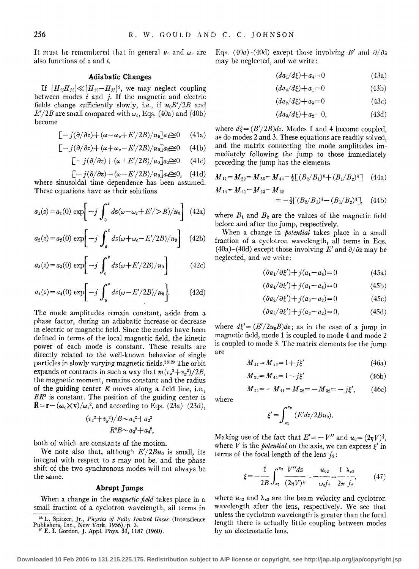It must be remembered that in general  $u_0$  and  $\omega_c$  are also functions of *z* and *t.* 

# **Adiabatic Changes**

If  $|H_{ij}H_{ji}|\ll |H_{ii}-H_{jj}|^2$ , we may neglect coupling between modes *i* and j. If the magnetic and electric fields change sufficiently slowly, i.e., if  $u_0 B'/2B$  and  $E'/2B$  are small compared with  $\omega_c$ , Eqs. (40a) and (40b) become

$$
[-j(\partial/\partial z) + (\omega - \omega_c + E'/2B)/u_0]a_1 \geq 0 \qquad (41a)
$$

$$
[-j(\partial/\partial z) + (\omega + \omega_c - E'/2B)/u_0]a_2 \approx 0 \quad (41b)
$$

$$
[-j(\partial/\partial z) + (\omega + E'/2B)/u_0]a_3 \approx 0 \qquad (41c)
$$

$$
[-j(\partial/\partial z) + (\omega - E'/2B)/u_0]a_i \approx 0, \quad (41d)
$$

where sinusoidal time dependence has been assumed. These equations have as their solutions

$$
a_1(z) = a_1(0) \exp \left[ -j \int_0^z dz (\omega - \omega_c + E'/>B)/u_0 \right]
$$
 (42a)

$$
a_2(z) = a_2(0) \exp\left[-j \int_0^z dz (\omega + \omega_c - E'/2B)/u_0\right]
$$
 (42b)

$$
a_3(z) = a_3(0) \exp\left[-j \int_0^z dz(\omega + E'/2B)/u_0\right]
$$
 (42c)

$$
a_4(z) = a_4(0) \exp\biggl[ -j \int_0^z dz (\omega - E'/2B)/u_0 \biggr].
$$
 (42d)

The mode amplitudes remain constant, aside from a phase factor, during an adiabatic increase or decrease in electric or magnetic field. Since the modes have been defined in terms of the local magnetic field, the kinetic power of each mode is constant. These results are directly related to the well-known behavior of single particles in slowly varying magnetic fields. <sup>28</sup> • 29 The orbit expands or contracts in such a way that  $m(v_x^2 + v_y^2)/2B$ , the magnetic moment, remains constant and the radius of the guiding center *R* moves along a field line, i.e., *BR2* is constant. The position of the guiding center is  $\mathbf{R} = \mathbf{r} - (\omega_c \times \mathbf{v})/\omega_c^2$ , and according to Eqs. (23a)–(23d),

$$
\frac{(v_x^2 + v_y^2)}{B \sim a_1^2 + a_2^2}
$$
  
 
$$
R^2 B \sim a_3^2 + a_4^2,
$$

both of which are constants of the motion.

We note also that, although  $E'/2Bu_0$  is small, its integral with respect to *z* may not be, and the phase shift of the two synchronous modes will not always be the same.

# **Abrupt Jumps**

When a change in the *magnetic field* takes place in a small fraction of a cyclotron wavelength, all terms in Eqs. (40*a*) -(40d) except those involving *B'* and  $\partial/\partial z$ may be neglected, and we write:

 $(da_1/d\xi) + a_4 = 0$  (43a)

$$
(da_4/d\xi) + a_1 = 0 \tag{43b}
$$

$$
(da_2/d\xi) + a_3 = 0 \tag{43c}
$$

$$
(da_3/d\xi) + a_2 = 0,\t(43d)
$$

where  $d\xi = (B'/2B)dz$ . Modes 1 and 4 become coupled, as do modes 2 and 3. These equations are readily solved, and the matrix connecting the mode amplitudes immediately following the jump to those immediately preceding the jump has the elements

$$
M_{11} = M_{22} = M_{33} = M_{44} = \frac{1}{2} \left[ (B_2/B_1)^{\frac{1}{2}} + (B_1/B_2)^{\frac{1}{2}} \right] \quad (44a)
$$

$$
M_{14} = M_{41} = M_{23} = M_{32}
$$
  
=  $-\frac{1}{2} \left[ (B_2/B_1)^{\frac{1}{2}} - (B_1/B_2)^{\frac{1}{2}} \right], (44b)$ 

where  $B_1$  and  $B_2$  are the values of the magnetic field before and after the jump, respectively.

When a change in *potential* takes place in a small fraction of a cyclotron wavelength, all terms in Eqs.  $(40a)-(40d)$  except those involving E' and  $\partial/\partial z$  may be neglected, and we write:

$$
(\partial a_1/\partial \xi') + j(a_1 - a_4) = 0 \tag{45a}
$$

$$
(\partial a_4/\partial \xi') + j(a_1 - a_4) = 0 \tag{45b}
$$

$$
(\partial a_2/\partial \xi') + j(a_3 - a_2) = 0 \tag{45c}
$$

$$
(a3/\partial \xi') + j(a3 - a2) = 0, \qquad (45d)
$$

where  $d\xi = (E'/2u_0B)dz$ ; as in the case of a jump in magnetic field, mode 1 is coupled to mode 4 and mode 2 is coupled to mode 3. The matrix elements for the jump are

$$
M_{11} = M_{33} = 1 + j\xi'
$$
 (46a)

$$
M_{22} = M_{44} = 1 - j\xi'
$$
 (46b)

$$
M_{14} = -M_{41} = M_{32} = -M_{32} = -j\xi', \qquad (46c)
$$

where

$$
\xi'=\int_{z_1}^{z_2}\left(E'dz/2Bu_0\right).
$$

Making use of the fact that  $E' = -V''$  and  $u_0 = (2\eta V)^{\frac{1}{2}}$ , where *V* is the *potential* on the axis, we can express  $\xi'$  in terms of the focal length of the lens  $f_2$ :

$$
\xi = -\frac{1}{2B} \int_{z_1}^{z_2} \frac{V'' dz}{(2\eta V)^{\frac{1}{2}}} = -\frac{u_{02}}{\omega_c f_2} = \frac{1}{2\pi} \frac{\lambda_{c2}}{f_2},\tag{47}
$$

where  $u_{02}$  and  $\lambda_{c2}$  are the beam velocity and cyclotron wavelength after the lens, respectively. We see that unless the cyclotron wavelength is greater than the focal length there is actually little coupling between modes by an electrostatic lens.

<sup>28</sup> L. Spitzer, Jr., *Physics of Fully Ionized Gases* (Interscience Publishers, Inc., New York, 1956), p. 3. 2 <sup>9</sup>E. I. Gordon, J. Appl. Phys. 31, 1187 (1960).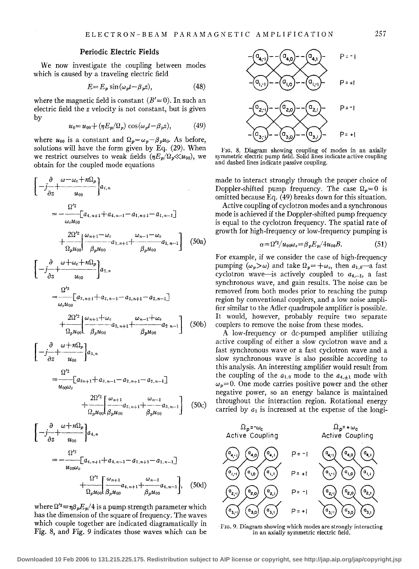# **Periodic Electric Fields**

We now investigate the coupling between modes which is caused by a traveling electric field

$$
E = E_p \sin(\omega_p t - \beta_p z), \tag{48}
$$

where the magnetic field is constant  $(B' = 0)$ . In such an electric field the *z* velocity is not constant, but is given by

$$
u_0 = u_{00} + (\eta E_p/\Omega_p) \cos(\omega_p t - \beta_p z), \tag{49}
$$

where  $u_{00}$  is a constant and  $\Omega_p = \omega_p - \beta_p u_0$ . As before, solutions will have the form given by Eq. (29). When we restrict ourselves to weak fields  $(\eta E_p/\Omega_p \ll u_{00})$ , we obtain for the coupled mode equations

$$
\begin{aligned}\n&\left[-\frac{\partial}{\partial z} + \frac{\omega - \omega_c + n\Omega_p}{u_{00}}\right] a_{i,n} \\
&= -\frac{\Omega'^2}{\omega_c u_{00}} [a_{4,n+1} + a_{4,n-1} - a_{1,n+1} - a_{1,n-1}] \\
&+ \frac{2\Omega'^2}{\Omega_p u_{00}} \left(\frac{\omega_{n+1} - \omega_c}{\beta_p u_{00}} - a_{1,n+1} + \frac{\omega_{n-1} - \omega_c}{\beta_p u_{00}} a_{1,n-1}\right) \quad (50a) \\
&\left[-\frac{\partial}{\partial z} + \frac{\omega + \omega_c + n\Omega_p}{u_{00}}\right] a_{2,n} \\
&= \frac{\Omega'^2}{\omega_c u_{00}} [a_{3,n+1} + a_{3,n-1} - a_{2,n+1} - a_{2,n-1}] \\
&+ \frac{2\Omega'^2}{\Omega_p u_{00}} \left(\frac{\omega_{n+1} + \omega_c}{\beta_p u_{00}} - a_{2,n+1} + \frac{\omega_{n-1} + \omega_c}{\beta_p u_{00}} a_{2,n-1}\right) \quad (50b) \\
&\left[-\frac{\partial}{\partial z} + \frac{\omega + n\Omega_p}{u_{00}}\right] a_{3,n} \\
&\Omega'^2\n\end{aligned}
$$

$$
= -\left[a_{3n+1} + a_{3,n-1} - a_{2,n+1} - a_{2,n-1}\right]
$$
  
+ 
$$
\frac{2\Omega'^2}{\Omega_n u_{00}} \left[\frac{\omega_{n+1}}{\beta_n u_{00}} a_{3,n+1} + \frac{\omega_{n-1}}{\beta_n u_{00}} a_{3,n-1}\right]
$$
 (50c)

 $\beta_p u_{00}$ 

$$
\begin{aligned}\n&\left[-j\frac{\partial}{\partial z} + \frac{\omega + n\Omega_p}{u_{00}}\right]a_{4,n} \\
&= -\frac{\Omega'^2}{u_{00}\omega_c} \left[a_{4,n+1} + a_{4,n-1} - a_{1,n+1} - a_{1,n-1}\right] \\
&+ \frac{\Omega'^2}{\Omega_p u_{00}} \left[\frac{\omega_{n+1}}{\beta_p u_{00}} a_{4,n+1} + \frac{\omega_{n-1}}{\beta_p u_{00}} a_{4,n-1}\right],\n\end{aligned} (50d)
$$

where  $\Omega'^2 = \eta \beta_p E_p/4$  is a pump strength parameter which has the dimension of the square of frequency. The waves which couple together are indicated diagramatically in Fig. 8, and Fig. *9* indicates those waves which can be



FIG. 8. Diagram showing coupling of modes in an axially symmetric electric pump field. Solid lines indicate active coupling and dashed lines indicate passive coupling.

made to interact strongly through the proper choice of Doppler-shifted pump frequency. The case  $\Omega_n = 0$  is omitted because Eq. (49) breaks down for this situation.

Active coupling of cyclotron modes and a synchronous mode is achieved if the Doppler-shifted pump frequency is equal to the cyclotron frequency. The spatial rate of growth for high-frequency or low-frequency pumping is

$$
\alpha = \Omega'^2 / u_{00}\omega_c = \beta_p E_p / 4u_{00}B. \tag{51}
$$

For example, if we consider the case of high-frequency pumping  $(\omega_p > \omega)$  and take  $\Omega_p = +\omega_c$ , then  $a_{1,0}$ —a fast cyclotron wave-is actively coupled to  $a_{4,-1}$ , a fast synchronous wave, and gain results. The noise can be removed from both modes prior to reaching the pump region by conventional couplers, and a low noise amplifier similar to the Adler quadrupole amplifier is possible. It would, however, probably require two separate couplers to remove the noise from these modes.

A low-frequency or de-pumped amplifier utilizing active coupling of either a slow cyclotron wave and a fast synchronous wave or a fast cyclotron wave and a slow synchronous wave is also possible according to this analysis. An interesting amplifier would result from the coupling of the  $a_{1,0}$  mode to the  $a_{4,\pm 1}$  mode with  $\omega_p=0$ . One mode carries positive power and the other negative power, so an energy balance is maintained throughout the interaction region. Rotational energy carried by  $a_1$  is increased at the expense of the longi-



FIG. 9. Diagram showing which modes are strongly interacting in an axially symmetric electric field.